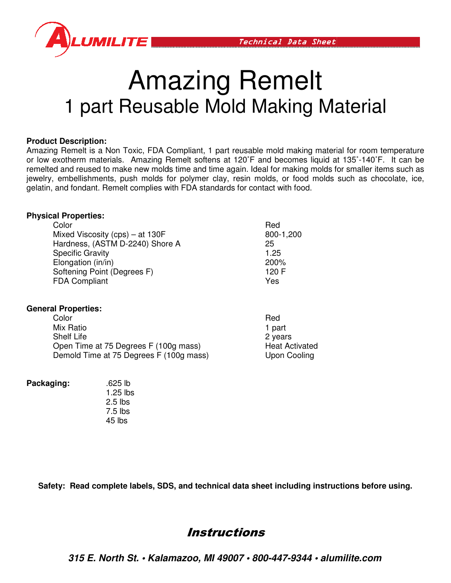

# Amazing Remelt 1 part Reusable Mold Making Material

#### **Product Description:**

Amazing Remelt is a Non Toxic, FDA Compliant, 1 part reusable mold making material for room temperature Amazing Remelt is a Non Toxic, FDA Compliant, 1 part reusable mold making material for room temperature<br>or low exotherm materials. Amazing Remelt softens at 120˚F and becomes liquid at 135˚-140˚F. It can be remelted and reused to make new molds time and time again. Ideal for making molds for smaller items such as remelted and reused to make new molds time and time again. Ideal for making molds for smaller items such as<br>jewelry, embellishments, push molds for polymer clay, resin molds, or food molds such as chocolate, ice, gelatin, and fondant. Remelt complies with FDA standards for contact with food.

#### **Physical Properties:**

| jewelry, embellishments, push molds for polymer clay, resin molds, or food molds su<br>gelatin, and fondant. Remelt complies with FDA standards for contact with food. |           |  |
|------------------------------------------------------------------------------------------------------------------------------------------------------------------------|-----------|--|
| <b>Physical Properties:</b>                                                                                                                                            |           |  |
| Color                                                                                                                                                                  | Red       |  |
| Mixed Viscosity (cps) $-$ at 130F                                                                                                                                      | 800-1,200 |  |
| Hardness, (ASTM D-2240) Shore A                                                                                                                                        | 25        |  |
| <b>Specific Gravity</b>                                                                                                                                                | 1.25      |  |
| Elongation (in/in)                                                                                                                                                     | 200%      |  |
| Softening Point (Degrees F)                                                                                                                                            | 120 F     |  |
| <b>FDA Compliant</b>                                                                                                                                                   | Yes       |  |
|                                                                                                                                                                        |           |  |

#### **General Properties:**

| Color                                   | Red                   |
|-----------------------------------------|-----------------------|
| Mix Ratio                               | 1 part                |
| <b>Shelf Life</b>                       | 2 years               |
| Open Time at 75 Degrees F (100g mass)   | <b>Heat Activated</b> |
| Demold Time at 75 Degrees F (100g mass) | Upon Cooling          |

**Packaging:** .625 lb

 1.25 lbs 2.5 lbs 7.5 lbs 45 lbs

Safety: Read complete labels, SDS, and technical data sheet including instructions before using.

## **Instructions**

**315 E. North St. • Kalam lamazoo, MI 49007 • 800-447-9344 • alum lumilite.com**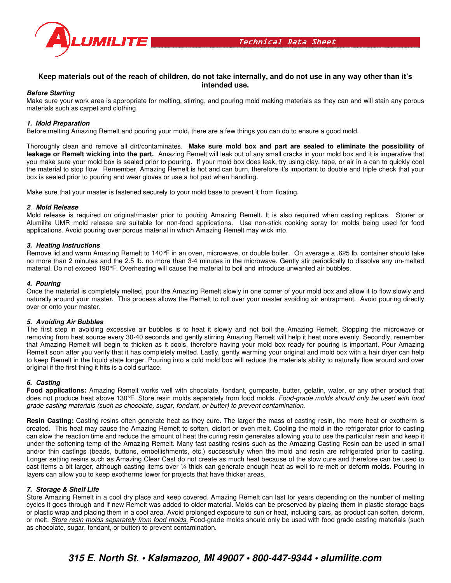

# Keep materials out of the reach of children, do not take internally, and do not use in any way other than it's<br>intended use.

#### **Before Starting**

Make sure your work area is appropriate for melting, stirring, and pouring mold making materials as they can and will stain any porous materials such as carpet and clothing.

#### **1. Mold Preparation**

Before melting Amazing Remelt and pouring your mold, there are a few things you can do to ensure a good mold.

Thoroughly clean and remove all dirt/contaminates. Make sure mold box and part are sealed to eliminate the possibility of leakage or Remelt wicking into the part. Amazing Remelt will leak out of any small cracks in your mold box and it is imperative that **leakage or Remelt wicking into the part.** Amazing Remelt will leak out of any small cracks in your mold box and it is imperative that<br>you make sure your mold box is sealed prior to pouring. If your mold box does leak, try you make sure your mold box is sealed prior to pouring. If your mold box does leak, try using clay, tape, or air in a can to quickly cool<br>the material to stop flow. Remember, Amazing Remelt is hot and can burn, therefore box is sealed prior to pouring and wear gloves or use a hot pad when handling.

Make sure that your master is fastened securely to your mold base to prevent it from floating.

#### **2**. **Mold Release**

Mold release is required on original/master prior to pouring Amazing Remelt. It is also required when casting replicas. Ston Alumilite UMR mold release are suitable for non-food applications. Use non-stick cooking spray for molds being used for food applications. Avoid pouring over porous material in which Amazing Remelt may wick into. Make sure that your master is fastened securely to your mold base to prevent it from floating.<br>2. Mold Release<br>Mold release is required on original/master prior to pouring Amazing Remelt. It is also required when casting r Stoner or

#### **3. Heating Instructions**

Remove lid and warm Amazing Remelt to 140°F in an oven, microwave, or double boiler. On average a .625 lb. container should take Alumilite UMR mold release are suitable for non-food applications. Use non-stick cooking spray for molds being used for food<br>applications. Avoid pouring over porous material in which Amazing Remelt may wick into.<br>**3. Heati** material. Do not exceed 190°F. Overheating will cause the material to boil and introduce unwanted air bubbles. bubbles.

#### **4. Pouring**

material. Do not exceed 190°F. Overheating will cause the material to boil and introduce unwanted air bubbles.<br>**4. Pouring**<br>Once the material is completely melted, pour the Amazing Remelt slowly in one corner of your mold naturally around your master. This process allows the Remelt to roll over your master avoiding air entrapment. Avoid pouring directly over or onto your master.

#### **5. Avoiding Air Bubbles**

The first step in avoiding excessive air bubbles is to heat it slowly and not boil the Amazing Remelt. Stopping the microwave or removing from heat source every 30-40 seconds and gently stirring Amazing Remelt will help it heat more evenly. Secondly, remember that Amazing Remelt will begin to thicken as it cools, therefore having your mold box ready for pouring is important. Pour Amazing Remelt soon after you verify that it has completely melted. Lastly, gently warming your original and mold box with a hair dryer can help to keep Remelt in the liquid state longer. Pouring into a cold mold box will reduce the materials ability to naturally flow around and over original if the first thing it hits is a cold surface.

#### **6. Casting**

Food applications: Amazing Remelt works well with chocolate, fondant, gumpaste, butter, gelatin, water, or any other product that does not produce heat above 130°F. Store resin molds separately from food molds. Food-grade molds should only be used with food grade casting materials (such as chocolate, sugar, fondant, or butter) to prevent contamination contamination.

**Resin Casting:** Casting resins often generate heat as they cure. The larger the mass of casting resin, the more heat or exotherm is created. This heat may cause the Amazing Remelt to soften, distort or even melt. Cooling the mold in the refrigerator prior to casting can slow the reaction time and reduce the amount of heat the curing resin generates allowing you to use the particular resin and keep it **Resin Casting:** Casting resins often generate heat as they cure. The larger the mass of casting resin, the more heat or exotherm is created. This heat may cause the Amazing Remelt to soften, distort or even melt. Cooling and/or thin castings (beads, buttons, embellishments, etc.) successfully when the mold and resin are refrigerated prior to casting. Longer setting resins such as Amazing Clear Cast do not create as much heat because of the slow cure cast items a bit larger, although casting items over 1/4 thick can generate enough heat as well to re-melt or deform molds. Pouring in layers can allow you to keep exotherms lower for projects that have thicker areas. cast items a bit larger, although casting items over 1/4 thick can generate enough heat as well to re-melt or deform molds. Pouring in layers can allow you to keep exotherms lower for projects that have thicker areas.<br>7. S d/or thin castings (beads, buttons, embellishments, etc.) successfully when the mold and resin are refrigerated prior to casting.<br>nger setting resins such as Amazing Clear Cast do not create as much heat because of the slo and therefore can be used to

#### **7. Storage & Shelf Life**

cycles it goes through and if new Remelt was added to older material. Molds can be preserved by placing them in plastic storage bags or plastic wrap and placing them in a cool area. Avoid prolonged exposure to sun or heat, including cars, as product can or melt. *Store resin molds separately from food molds.* Food-grade molds should only be used with food grade casting materials (such as chocolate, sugar, fondant, or butter) to prevent contamination. was added to older material. Molds can be preserved by placing them in plastic storage bags<br>area. Avoid prolonged exposure to sun or heat, including cars, as product can soften, deform,<br><u>n food *molds.*</u> Food-grade molds s can soften, deform,

### **315 E. North St. • Kalam lamazoo, MI 49007 • 800-447-9344 • alum lumilite.com**